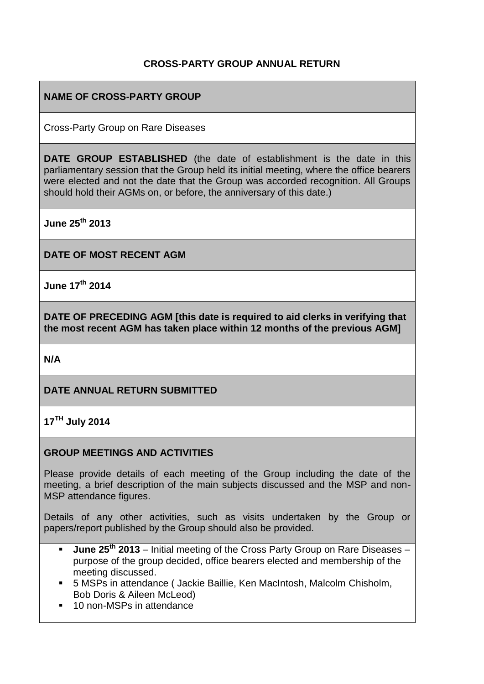## **CROSS-PARTY GROUP ANNUAL RETURN**

## **NAME OF CROSS-PARTY GROUP**

Cross-Party Group on Rare Diseases

**DATE GROUP ESTABLISHED** (the date of establishment is the date in this parliamentary session that the Group held its initial meeting, where the office bearers were elected and not the date that the Group was accorded recognition. All Groups should hold their AGMs on, or before, the anniversary of this date.)

**June 25th 2013**

**DATE OF MOST RECENT AGM**

**June 17th 2014**

**DATE OF PRECEDING AGM [this date is required to aid clerks in verifying that the most recent AGM has taken place within 12 months of the previous AGM]**

**N/A**

## **DATE ANNUAL RETURN SUBMITTED**

**17TH July 2014**

#### **GROUP MEETINGS AND ACTIVITIES**

Please provide details of each meeting of the Group including the date of the meeting, a brief description of the main subjects discussed and the MSP and non-MSP attendance figures.

Details of any other activities, such as visits undertaken by the Group or papers/report published by the Group should also be provided.

- **June 25th 2013** Initial meeting of the Cross Party Group on Rare Diseases purpose of the group decided, office bearers elected and membership of the meeting discussed.
- 5 MSPs in attendance ( Jackie Baillie, Ken MacIntosh, Malcolm Chisholm, Bob Doris & Aileen McLeod)
- 10 non-MSPs in attendance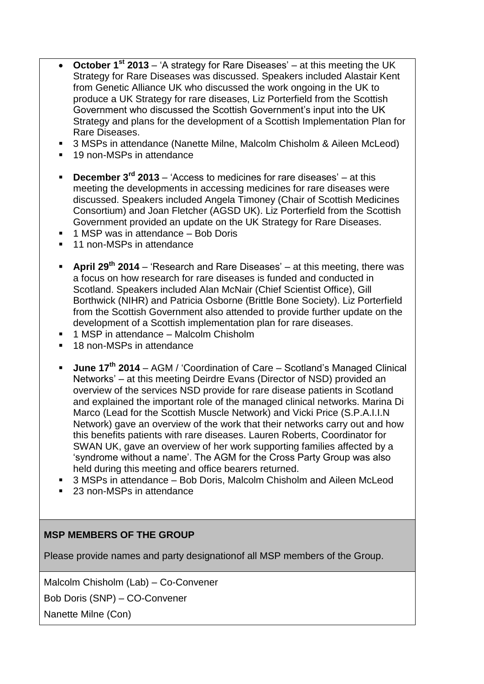- **October 1st 2013** 'A strategy for Rare Diseases' at this meeting the UK Strategy for Rare Diseases was discussed. Speakers included Alastair Kent from Genetic Alliance UK who discussed the work ongoing in the UK to produce a UK Strategy for rare diseases, Liz Porterfield from the Scottish Government who discussed the Scottish Government's input into the UK Strategy and plans for the development of a Scottish Implementation Plan for Rare Diseases.
- 3 MSPs in attendance (Nanette Milne, Malcolm Chisholm & Aileen McLeod)
- 19 non-MSPs in attendance
- **December 3rd 2013** 'Access to medicines for rare diseases' at this meeting the developments in accessing medicines for rare diseases were discussed. Speakers included Angela Timoney (Chair of Scottish Medicines Consortium) and Joan Fletcher (AGSD UK). Liz Porterfield from the Scottish Government provided an update on the UK Strategy for Rare Diseases.
- 1 MSP was in attendance Bob Doris
- 11 non-MSPs in attendance
- **April 29th 2014** 'Research and Rare Diseases' at this meeting, there was a focus on how research for rare diseases is funded and conducted in Scotland. Speakers included Alan McNair (Chief Scientist Office), Gill Borthwick (NIHR) and Patricia Osborne (Brittle Bone Society). Liz Porterfield from the Scottish Government also attended to provide further update on the development of a Scottish implementation plan for rare diseases.
- 1 MSP in attendance Malcolm Chisholm
- 18 non-MSPs in attendance
- **June 17th 2014** AGM / 'Coordination of Care Scotland's Managed Clinical Networks' – at this meeting Deirdre Evans (Director of NSD) provided an overview of the services NSD provide for rare disease patients in Scotland and explained the important role of the managed clinical networks. Marina Di Marco (Lead for the Scottish Muscle Network) and Vicki Price (S.P.A.I.I.N Network) gave an overview of the work that their networks carry out and how this benefits patients with rare diseases. Lauren Roberts, Coordinator for SWAN UK, gave an overview of her work supporting families affected by a 'syndrome without a name'. The AGM for the Cross Party Group was also held during this meeting and office bearers returned.
- 3 MSPs in attendance Bob Doris, Malcolm Chisholm and Aileen McLeod
- 23 non-MSPs in attendance

## **MSP MEMBERS OF THE GROUP**

Please provide names and party designationof all MSP members of the Group.

Malcolm Chisholm (Lab) – Co-Convener

Bob Doris (SNP) – CO-Convener

Nanette Milne (Con)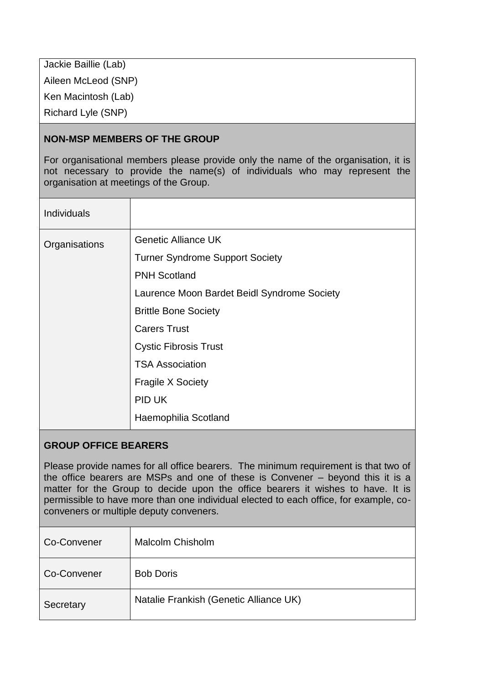Jackie Baillie (Lab) Aileen McLeod (SNP) Ken Macintosh (Lab) Richard Lyle (SNP)

## **NON-MSP MEMBERS OF THE GROUP**

For organisational members please provide only the name of the organisation, it is not necessary to provide the name(s) of individuals who may represent the organisation at meetings of the Group.

| <b>Individuals</b> |                                             |
|--------------------|---------------------------------------------|
| Organisations      | <b>Genetic Alliance UK</b>                  |
|                    | <b>Turner Syndrome Support Society</b>      |
|                    | <b>PNH Scotland</b>                         |
|                    | Laurence Moon Bardet Beidl Syndrome Society |
|                    | <b>Brittle Bone Society</b>                 |
|                    | <b>Carers Trust</b>                         |
|                    | <b>Cystic Fibrosis Trust</b>                |
|                    | <b>TSA Association</b>                      |
|                    | <b>Fragile X Society</b>                    |
|                    | PID UK                                      |
|                    | Haemophilia Scotland                        |

#### **GROUP OFFICE BEARERS**

Please provide names for all office bearers. The minimum requirement is that two of the office bearers are MSPs and one of these is Convener – beyond this it is a matter for the Group to decide upon the office bearers it wishes to have. It is permissible to have more than one individual elected to each office, for example, coconveners or multiple deputy conveners.

| Co-Convener | <b>Malcolm Chisholm</b>                |
|-------------|----------------------------------------|
| Co-Convener | <b>Bob Doris</b>                       |
| Secretary   | Natalie Frankish (Genetic Alliance UK) |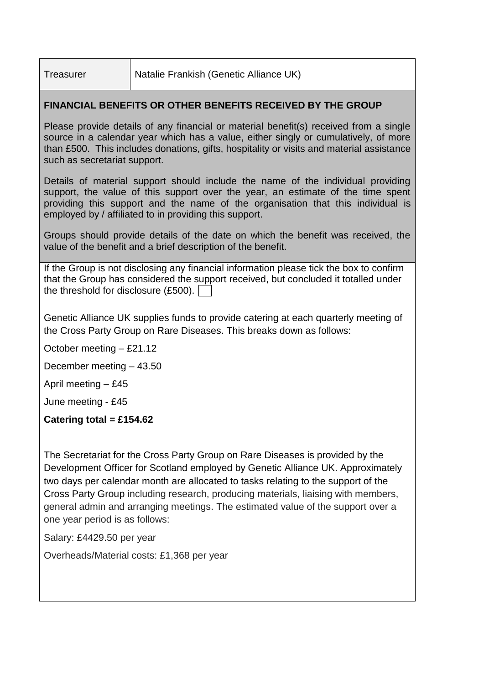Treasurer | Natalie Frankish (Genetic Alliance UK)

## **FINANCIAL BENEFITS OR OTHER BENEFITS RECEIVED BY THE GROUP**

Please provide details of any financial or material benefit(s) received from a single source in a calendar year which has a value, either singly or cumulatively, of more than £500. This includes donations, gifts, hospitality or visits and material assistance such as secretariat support.

Details of material support should include the name of the individual providing support, the value of this support over the year, an estimate of the time spent providing this support and the name of the organisation that this individual is employed by / affiliated to in providing this support.

Groups should provide details of the date on which the benefit was received, the value of the benefit and a brief description of the benefit.

If the Group is not disclosing any financial information please tick the box to confirm that the Group has considered the support received, but concluded it totalled under the threshold for disclosure (£500).

Genetic Alliance UK supplies funds to provide catering at each quarterly meeting of the Cross Party Group on Rare Diseases. This breaks down as follows:

October meeting – £21.12

December meeting – 43.50

April meeting  $-$  £45

June meeting - £45

## **Catering total = £154.62**

The Secretariat for the Cross Party Group on Rare Diseases is provided by the Development Officer for Scotland employed by Genetic Alliance UK. Approximately two days per calendar month are allocated to tasks relating to the support of the Cross Party Group including research, producing materials, liaising with members, general admin and arranging meetings. The estimated value of the support over a one year period is as follows:

Salary: £4429.50 per year

Overheads/Material costs: £1,368 per year